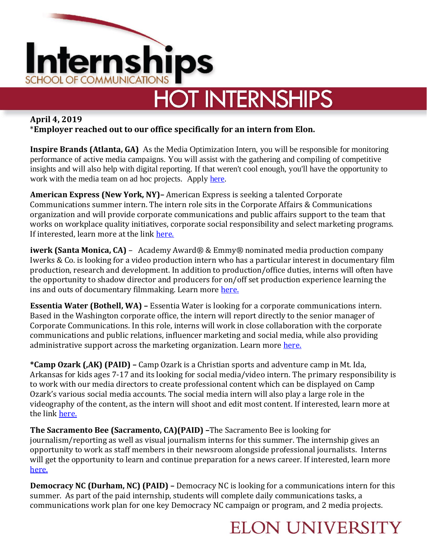

# **HOT INTERNSHIPS**

#### **April 4, 2019** \***Employer reached out to our office specifically for an intern from Elon.**

**Inspire Brands (Atlanta, GA)** As the Media Optimization Intern, you will be responsible for monitoring performance of active media campaigns. You will assist with the gathering and compiling of competitive insights and will also help with digital reporting. If that weren't cool enough, you'll have the opportunity to work with the media team on ad hoc projects. Apply [here.](https://www.linkedin.com/jobs/view/1194820813/)

**American Express (New York, NY)–** American Express is seeking a talented Corporate Communications summer intern. The intern role sits in the Corporate Affairs & Communications organization and will provide corporate communications and public affairs support to the team that works on workplace quality initiatives, corporate social responsibility and select marketing programs. If interested, learn more at the link [here.](https://jobs.americanexpress.com/jobs/19002033?lang=en-us&utm_campaign=google_jobs_apply&utm_source=google_jobs_apply&utm_medium=organic)

**iwerk (Santa Monica, CA)** – Academy Award® & Emmy® nominated media production company Iwerks & Co. is looking for a video production intern who has a particular interest in documentary film production, research and development. In addition to production/office duties, interns will often have the opportunity to shadow director and producers for on/off set production experience learning the ins and outs of documentary filmmaking. Learn more [here.](https://www.entertainmentcareers.net/iwerks-and-co/intern-production-company/job/289216/)

**Essentia Water (Bothell, WA) –** Essentia Water is looking for a corporate communications intern. Based in the Washington corporate office, the intern will report directly to the senior manager of Corporate Communications. In this role, interns will work in close collaboration with the corporate communications and public relations, influencer marketing and social media, while also providing administrative support across the marketing organization. Learn more [here.](http://jnmjobs.com/job/corporate-communications-public-relations-intern/?utm_campaign=google_jobs_apply&utm_source=google_jobs_apply&utm_medium=organic)

**\*Camp Ozark (,AK) (PAID) –** Camp Ozark is a Christian sports and adventure camp in Mt. Ida, Arkansas for kids ages 7-17 and its looking for social media/video intern. The primary responsibility is to work with our media directors to create professional content which can be displayed on Camp Ozark's various social media accounts. The social media intern will also play a large role in the videography of the content, as the intern will shoot and edit most content. If interested, learn more at the link [here.](https://campozark.com/camp-ozark/summer-camp/social-media-internship)

**The Sacramento Bee (Sacramento, CA)(PAID) –**The Sacramento Bee is looking for journalism/reporting as well as visual journalism interns for this summer. The internship gives an opportunity to work as staff members in their newsroom alongside professional journalists. Interns will get the opportunity to learn and continue preparation for a news career. If interested, learn more [here.](http://jobs.jobvite.com/mcclatchy/job/oN9a9fwZ)

**Democracy NC (Durham, NC) (PAID) –** Democracy NC is looking for a communications intern for this summer. As part of the paid internship, students will complete daily communications tasks, a communications work plan for one key Democracy NC campaign or program, and 2 media projects.

### **ELON UNIVERSITY**